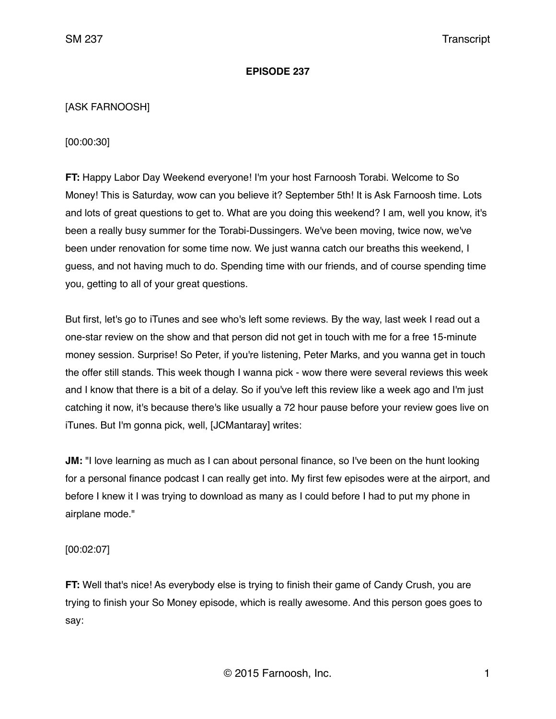#### **EPISODE 237**

# [ASK FARNOOSH]

[00:00:30]

**FT:** Happy Labor Day Weekend everyone! I'm your host Farnoosh Torabi. Welcome to So Money! This is Saturday, wow can you believe it? September 5th! It is Ask Farnoosh time. Lots and lots of great questions to get to. What are you doing this weekend? I am, well you know, it's been a really busy summer for the Torabi-Dussingers. We've been moving, twice now, we've been under renovation for some time now. We just wanna catch our breaths this weekend, I guess, and not having much to do. Spending time with our friends, and of course spending time you, getting to all of your great questions.

But first, let's go to iTunes and see who's left some reviews. By the way, last week I read out a one-star review on the show and that person did not get in touch with me for a free 15-minute money session. Surprise! So Peter, if you're listening, Peter Marks, and you wanna get in touch the offer still stands. This week though I wanna pick - wow there were several reviews this week and I know that there is a bit of a delay. So if you've left this review like a week ago and I'm just catching it now, it's because there's like usually a 72 hour pause before your review goes live on iTunes. But I'm gonna pick, well, [JCMantaray] writes:

**JM:** "I love learning as much as I can about personal finance, so I've been on the hunt looking for a personal finance podcast I can really get into. My first few episodes were at the airport, and before I knew it I was trying to download as many as I could before I had to put my phone in airplane mode."

[00:02:07]

**FT:** Well that's nice! As everybody else is trying to finish their game of Candy Crush, you are trying to finish your So Money episode, which is really awesome. And this person goes goes to say: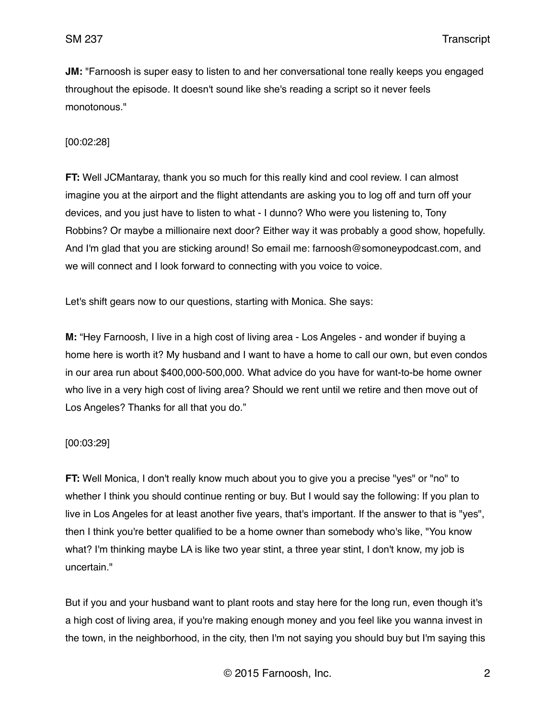**JM:** "Farnoosh is super easy to listen to and her conversational tone really keeps you engaged throughout the episode. It doesn't sound like she's reading a script so it never feels monotonous."

# [00:02:28]

**FT:** Well JCMantaray, thank you so much for this really kind and cool review. I can almost imagine you at the airport and the flight attendants are asking you to log off and turn off your devices, and you just have to listen to what - I dunno? Who were you listening to, Tony Robbins? Or maybe a millionaire next door? Either way it was probably a good show, hopefully. And I'm glad that you are sticking around! So email me: farnoosh@somoneypodcast.com, and we will connect and I look forward to connecting with you voice to voice.

Let's shift gears now to our questions, starting with Monica. She says:

**M:** "Hey Farnoosh, I live in a high cost of living area - Los Angeles - and wonder if buying a home here is worth it? My husband and I want to have a home to call our own, but even condos in our area run about \$400,000-500,000. What advice do you have for want-to-be home owner who live in a very high cost of living area? Should we rent until we retire and then move out of Los Angeles? Thanks for all that you do."

# [00:03:29]

**FT:** Well Monica, I don't really know much about you to give you a precise "yes" or "no" to whether I think you should continue renting or buy. But I would say the following: If you plan to live in Los Angeles for at least another five years, that's important. If the answer to that is "yes", then I think you're better qualified to be a home owner than somebody who's like, "You know what? I'm thinking maybe LA is like two year stint, a three year stint, I don't know, my job is uncertain."

But if you and your husband want to plant roots and stay here for the long run, even though it's a high cost of living area, if you're making enough money and you feel like you wanna invest in the town, in the neighborhood, in the city, then I'm not saying you should buy but I'm saying this

© 2015 Farnoosh, Inc. 2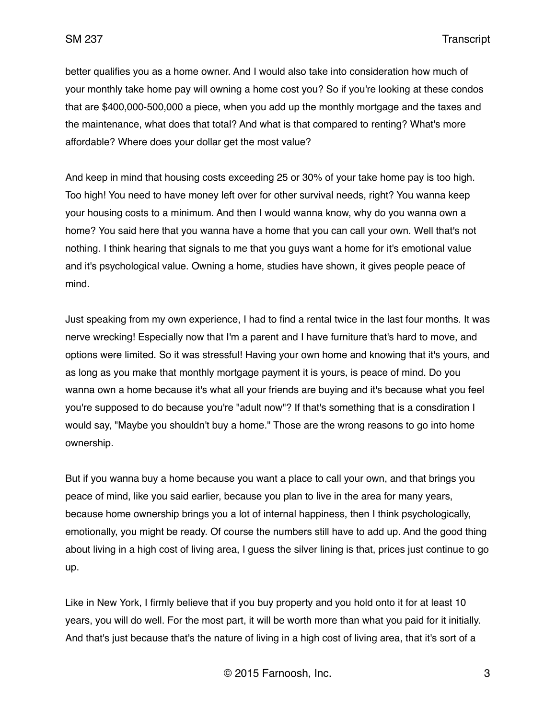better qualifies you as a home owner. And I would also take into consideration how much of your monthly take home pay will owning a home cost you? So if you're looking at these condos that are \$400,000-500,000 a piece, when you add up the monthly mortgage and the taxes and the maintenance, what does that total? And what is that compared to renting? What's more affordable? Where does your dollar get the most value?

And keep in mind that housing costs exceeding 25 or 30% of your take home pay is too high. Too high! You need to have money left over for other survival needs, right? You wanna keep your housing costs to a minimum. And then I would wanna know, why do you wanna own a home? You said here that you wanna have a home that you can call your own. Well that's not nothing. I think hearing that signals to me that you guys want a home for it's emotional value and it's psychological value. Owning a home, studies have shown, it gives people peace of mind.

Just speaking from my own experience, I had to find a rental twice in the last four months. It was nerve wrecking! Especially now that I'm a parent and I have furniture that's hard to move, and options were limited. So it was stressful! Having your own home and knowing that it's yours, and as long as you make that monthly mortgage payment it is yours, is peace of mind. Do you wanna own a home because it's what all your friends are buying and it's because what you feel you're supposed to do because you're "adult now"? If that's something that is a consdiration I would say, "Maybe you shouldn't buy a home." Those are the wrong reasons to go into home ownership.

But if you wanna buy a home because you want a place to call your own, and that brings you peace of mind, like you said earlier, because you plan to live in the area for many years, because home ownership brings you a lot of internal happiness, then I think psychologically, emotionally, you might be ready. Of course the numbers still have to add up. And the good thing about living in a high cost of living area, I guess the silver lining is that, prices just continue to go up.

Like in New York, I firmly believe that if you buy property and you hold onto it for at least 10 years, you will do well. For the most part, it will be worth more than what you paid for it initially. And that's just because that's the nature of living in a high cost of living area, that it's sort of a

© 2015 Farnoosh, Inc. 3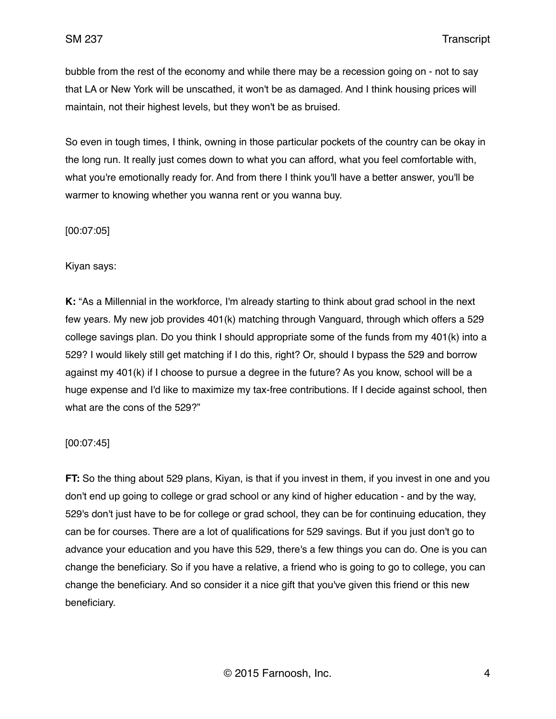bubble from the rest of the economy and while there may be a recession going on - not to say that LA or New York will be unscathed, it won't be as damaged. And I think housing prices will maintain, not their highest levels, but they won't be as bruised.

So even in tough times, I think, owning in those particular pockets of the country can be okay in the long run. It really just comes down to what you can afford, what you feel comfortable with, what you're emotionally ready for. And from there I think you'll have a better answer, you'll be warmer to knowing whether you wanna rent or you wanna buy.

[00:07:05]

Kiyan says:

**K:** "As a Millennial in the workforce, I'm already starting to think about grad school in the next few years. My new job provides 401(k) matching through Vanguard, through which offers a 529 college savings plan. Do you think I should appropriate some of the funds from my 401(k) into a 529? I would likely still get matching if I do this, right? Or, should I bypass the 529 and borrow against my 401(k) if I choose to pursue a degree in the future? As you know, school will be a huge expense and I'd like to maximize my tax-free contributions. If I decide against school, then what are the cons of the 529?"

# [00:07:45]

**FT:** So the thing about 529 plans, Kiyan, is that if you invest in them, if you invest in one and you don't end up going to college or grad school or any kind of higher education - and by the way, 529's don't just have to be for college or grad school, they can be for continuing education, they can be for courses. There are a lot of qualifications for 529 savings. But if you just don't go to advance your education and you have this 529, there's a few things you can do. One is you can change the beneficiary. So if you have a relative, a friend who is going to go to college, you can change the beneficiary. And so consider it a nice gift that you've given this friend or this new beneficiary.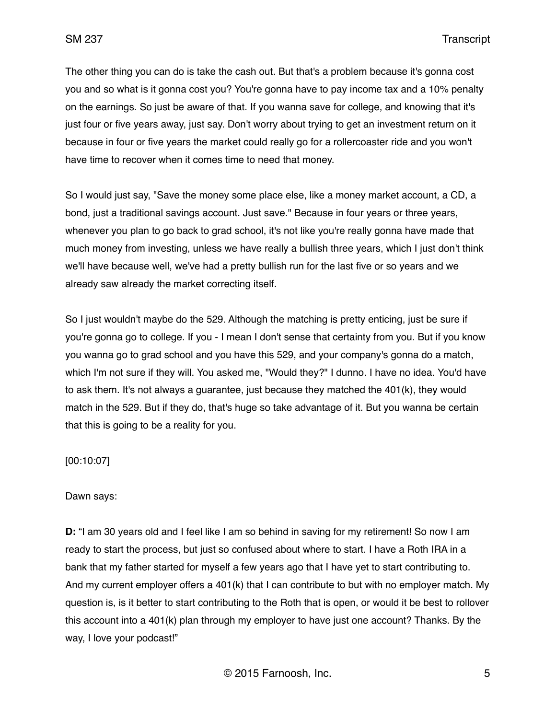The other thing you can do is take the cash out. But that's a problem because it's gonna cost you and so what is it gonna cost you? You're gonna have to pay income tax and a 10% penalty on the earnings. So just be aware of that. If you wanna save for college, and knowing that it's just four or five years away, just say. Don't worry about trying to get an investment return on it because in four or five years the market could really go for a rollercoaster ride and you won't have time to recover when it comes time to need that money.

So I would just say, "Save the money some place else, like a money market account, a CD, a bond, just a traditional savings account. Just save." Because in four years or three years, whenever you plan to go back to grad school, it's not like you're really gonna have made that much money from investing, unless we have really a bullish three years, which I just don't think we'll have because well, we've had a pretty bullish run for the last five or so years and we already saw already the market correcting itself.

So I just wouldn't maybe do the 529. Although the matching is pretty enticing, just be sure if you're gonna go to college. If you - I mean I don't sense that certainty from you. But if you know you wanna go to grad school and you have this 529, and your company's gonna do a match, which I'm not sure if they will. You asked me, "Would they?" I dunno. I have no idea. You'd have to ask them. It's not always a guarantee, just because they matched the 401(k), they would match in the 529. But if they do, that's huge so take advantage of it. But you wanna be certain that this is going to be a reality for you.

[00:10:07]

#### Dawn says:

**D:** "I am 30 years old and I feel like I am so behind in saving for my retirement! So now I am ready to start the process, but just so confused about where to start. I have a Roth IRA in a bank that my father started for myself a few years ago that I have yet to start contributing to. And my current employer offers a 401(k) that I can contribute to but with no employer match. My question is, is it better to start contributing to the Roth that is open, or would it be best to rollover this account into a 401(k) plan through my employer to have just one account? Thanks. By the way, I love your podcast!"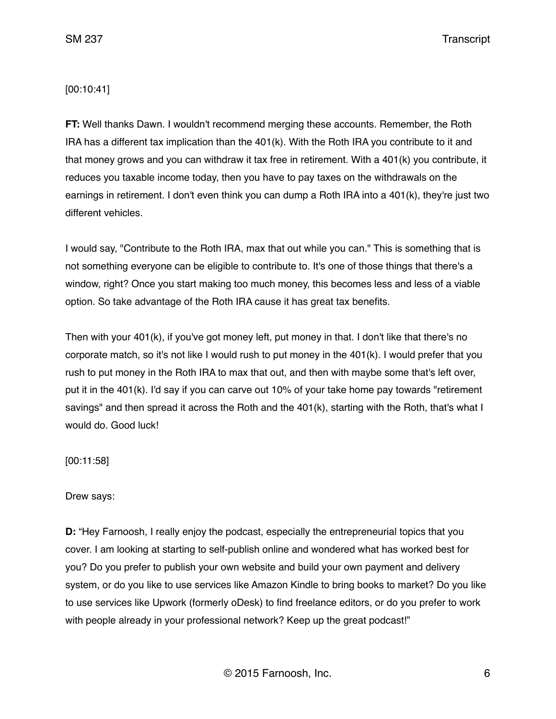SM 237 Transcript

#### [00:10:41]

**FT:** Well thanks Dawn. I wouldn't recommend merging these accounts. Remember, the Roth IRA has a different tax implication than the 401(k). With the Roth IRA you contribute to it and that money grows and you can withdraw it tax free in retirement. With a 401(k) you contribute, it reduces you taxable income today, then you have to pay taxes on the withdrawals on the earnings in retirement. I don't even think you can dump a Roth IRA into a 401(k), they're just two different vehicles.

I would say, "Contribute to the Roth IRA, max that out while you can." This is something that is not something everyone can be eligible to contribute to. It's one of those things that there's a window, right? Once you start making too much money, this becomes less and less of a viable option. So take advantage of the Roth IRA cause it has great tax benefits.

Then with your 401(k), if you've got money left, put money in that. I don't like that there's no corporate match, so it's not like I would rush to put money in the 401(k). I would prefer that you rush to put money in the Roth IRA to max that out, and then with maybe some that's left over, put it in the 401(k). I'd say if you can carve out 10% of your take home pay towards "retirement savings" and then spread it across the Roth and the 401(k), starting with the Roth, that's what I would do. Good luck!

[00:11:58]

Drew says:

**D:** "Hey Farnoosh, I really enjoy the podcast, especially the entrepreneurial topics that you cover. I am looking at starting to self-publish online and wondered what has worked best for you? Do you prefer to publish your own website and build your own payment and delivery system, or do you like to use services like Amazon Kindle to bring books to market? Do you like to use services like Upwork (formerly oDesk) to find freelance editors, or do you prefer to work with people already in your professional network? Keep up the great podcast!"